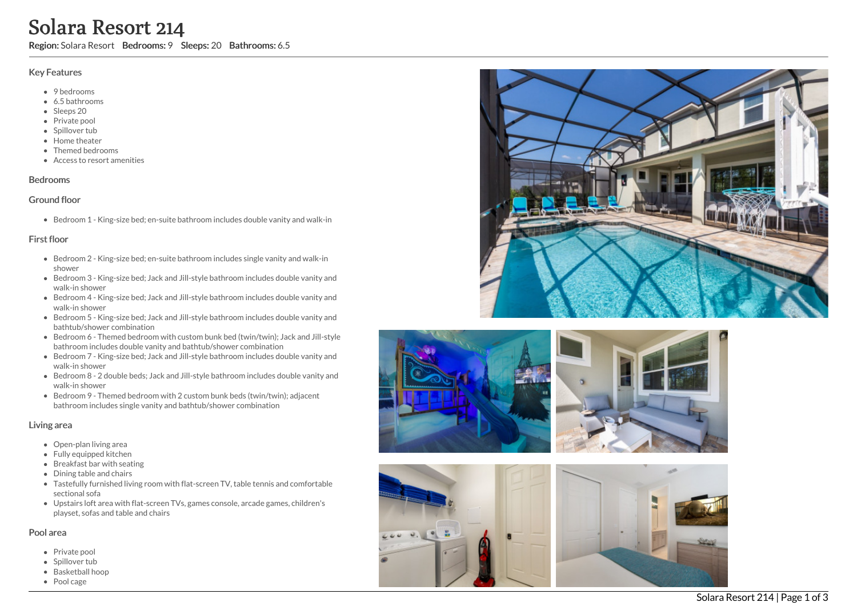# Solara Resort 214

Region: Solara Resort Bedrooms: 9 Sleeps: 20 Bathrooms: 6.5

#### Key Features

- 9 bedrooms
- 6.5 b a t h r o o m s
- Sleeps 20
- Private pool
- Spillover tub
- Home theate r
- T h e m e d b e d r o o m s
- Access to resort amenities

#### **Bedrooms**

#### Ground floor

Bedroom 1 - King-size bed; en-suite bathroom includes double vanity and walk-in

## First floor

- Bedroom 2 King-size bed; en-suite bathroom includes single vanity and walk-in s h o w e r
- Bedroom 3 King-size bed; Jack and Jill-style bathroom includes double vanity and walk-in shower
- Bedroom 4 King-size bed; Jack and Jill-style bathroom includes double vanity and walk-in shower
- Bedroom 5 King-size bed; Jack and Jill-style bathroom includes double vanity and bathtub/shower combination
- Bedroom 6 Themed bedroom with custom bunk bed (twin/twin); Jack and Jill-style bathroom includes double vanity and bathtub/shower combination
- Bedroom 7 King-size bed; Jack and Jill-style bathroom includes double vanity and walk-in shower
- Bedroom 8 2 double beds; Jack and Jill-style bathroom includes double vanity and walk-in shower
- Bedroom 9 Themed bedroom with 2 custom bunk beds (twin/twin); adjacent bathroom includes single vanity and bathtub/shower combination

#### Living area

- Open-plan living area
- Fully equipped kitchen
- Breakfast bar with seating
- Dining table and chairs
- Tastefully furnished living room with flat-screen TV, table tennis and comfortable s e c tio n al s o f a
- Upstairs loft area with flat-screen TVs, games console, arcade games, children's playset, sofas and table and chairs

#### Pool area

- Private pool
- Spillover tub
- Basketball ho o p
- Pool cage









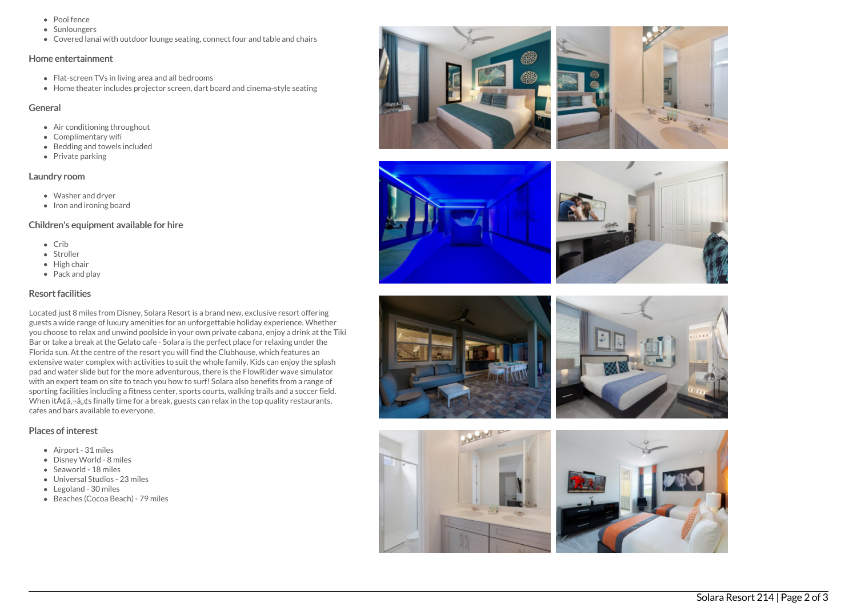- Pool fence
- Sunloungers
- Covered lanai with outdoor lounge seating, connect four and table and chairs

#### Home entertainment

- Flat-screen TVs in living area and all bedrooms
- Home theater includes projector screen, dart board and cinema-style seating

#### General

- Air conditioning throughout
- Complimentary wifi
- Bedding and towels included
- $\bullet$  Private parking

# Laundry room

- Washer and dryer
- Iron and ironing board

## Children's equipment available for hire

- $\bullet$  Crib
- Stroller
- High chair
- Pack and play

# Resort facilities

Located just 8 miles from Disney, Solara Resort is a brand new, exclusive resort offering guests a wide range of luxury amenities for an unforgettable holiday experience. Whether you choose to relax and unwind poolside in your own private cabana, enjoy a drink at the Tiki Bar or take a break at the Gelato cafe - Solara is the perfect place for relaxing under the Florida sun. At the centre of the resort you will find the Clubhouse, which features an extensive water complex with activities to suit the whole family. Kids can enjoy the splash pad and water slide but for the more adventurous, there is the FlowRider wave simulator with an expert team on site to teach you how to surf! Solara also benefits from a range of sporting facilities including a fitness center, sports courts, walking trails and a soccer field. When it $\tilde{A}$  $\tilde{a}$ , $\tilde{a}$ , $\tilde{a}$ , $\tilde{a}$  finally time for a break, guests can relax in the top quality restaurants, cafes and bars available to everyone.

# Places of interest

- Airport 31 miles
- Disney World 8 miles
- Seaworld 18 miles
- Universal Studios 23 miles
- Legoland 30 miles
- Beaches (Cocoa Beach) 79 miles